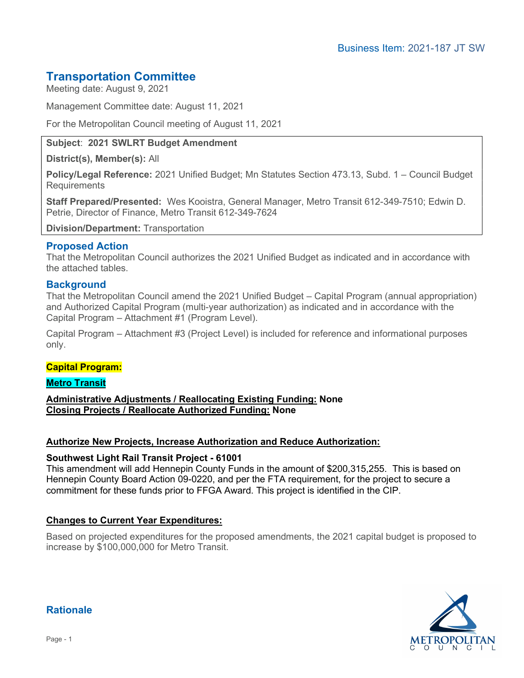# Transportation Committee

Meeting date: August 9, 2021

Management Committee date: August 11, 2021

For the Metropolitan Council meeting of August 11, 2021

## Subject: 2021 SWLRT Budget Amendment

District(s), Member(s): All

Policy/Legal Reference: 2021 Unified Budget; Mn Statutes Section 473.13, Subd. 1 – Council Budget **Requirements** 

Staff Prepared/Presented: Wes Kooistra, General Manager, Metro Transit 612-349-7510; Edwin D. Petrie, Director of Finance, Metro Transit 612-349-7624

Division/Department: Transportation

## Proposed Action

That the Metropolitan Council authorizes the 2021 Unified Budget as indicated and in accordance with the attached tables.

## **Background**

That the Metropolitan Council amend the 2021 Unified Budget – Capital Program (annual appropriation) and Authorized Capital Program (multi-year authorization) as indicated and in accordance with the Capital Program – Attachment #1 (Program Level).

Capital Program – Attachment #3 (Project Level) is included for reference and informational purposes only.

#### Capital Program:

Metro Transit

Administrative Adjustments / Reallocating Existing Funding: None Closing Projects / Reallocate Authorized Funding: None

#### Authorize New Projects, Increase Authorization and Reduce Authorization:

#### Southwest Light Rail Transit Project - 61001

This amendment will add Hennepin County Funds in the amount of \$200,315,255. This is based on Hennepin County Board Action 09-0220, and per the FTA requirement, for the project to secure a commitment for these funds prior to FFGA Award. This project is identified in the CIP.

## Changes to Current Year Expenditures:

Based on projected expenditures for the proposed amendments, the 2021 capital budget is proposed to increase by \$100,000,000 for Metro Transit.



# Rationale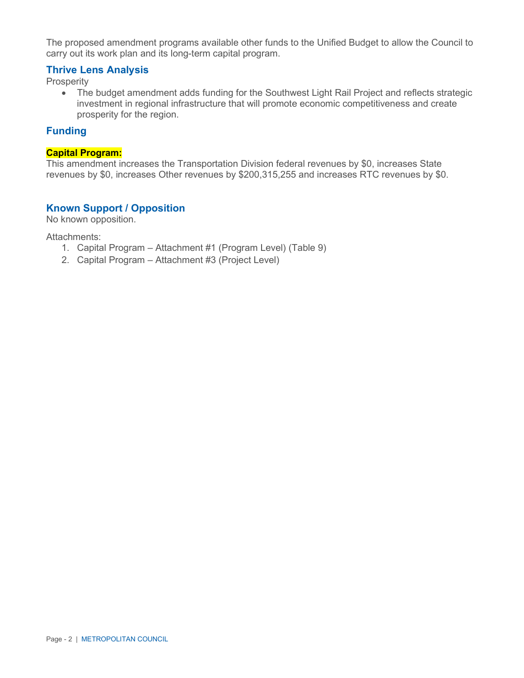The proposed amendment programs available other funds to the Unified Budget to allow the Council to carry out its work plan and its long-term capital program.

## Thrive Lens Analysis

Prosperity

 The budget amendment adds funding for the Southwest Light Rail Project and reflects strategic investment in regional infrastructure that will promote economic competitiveness and create prosperity for the region.

#### Funding

#### Capital Program:

This amendment increases the Transportation Division federal revenues by \$0, increases State revenues by \$0, increases Other revenues by \$200,315,255 and increases RTC revenues by \$0.

## Known Support / Opposition

No known opposition.

Attachments:

- 1. Capital Program Attachment #1 (Program Level) (Table 9)
- 2. Capital Program Attachment #3 (Project Level)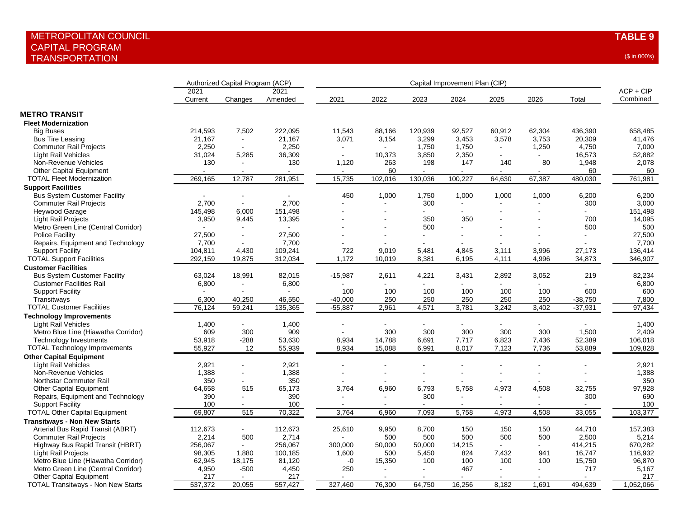| Authorized Capital Program (ACP)<br>Capital Improvement Plan (CIP)                                                                              |             |
|-------------------------------------------------------------------------------------------------------------------------------------------------|-------------|
| 2021<br>2021                                                                                                                                    | $ACP + CIP$ |
| Current<br>Amended<br>2021<br>2022<br>2023<br>2024<br>2025<br>2026<br>Total<br>Changes                                                          | Combined    |
| <b>METRO TRANSIT</b>                                                                                                                            |             |
| <b>Fleet Modernization</b>                                                                                                                      |             |
| 7,502<br><b>Big Buses</b><br>214,593<br>222,095<br>11,543<br>88,166<br>120,939<br>92,527<br>60,912<br>62,304<br>436,390                         | 658,485     |
| 3,071<br>21,167<br>21,167<br>3,154<br>3,299<br>3,453<br>3,578<br>3,753<br>20,309<br><b>Bus Tire Leasing</b><br>$\sim$                           | 41,476      |
| 2,250<br>2,250<br>1,750<br>1,750<br><b>Commuter Rail Projects</b><br>1,250<br>4,750<br>$\mathbf{r}$                                             | 7,000       |
| 31,024<br>5,285<br>36,309<br>3,850<br>2,350<br>16,573<br><b>Light Rail Vehicles</b><br>10,373<br>$\blacksquare$                                 | 52,882      |
| Non-Revenue Vehicles<br>130<br>130<br>1,120<br>263<br>198<br>147<br>140<br>80<br>1,948                                                          | 2,078       |
| 60<br><b>Other Capital Equipment</b><br>60                                                                                                      | 60          |
| 12,787<br>281,951<br>15,735<br>130,036<br>100,227<br><b>TOTAL Fleet Modernization</b><br>269,165<br>102,016<br>64,630<br>67,387<br>480,030      | 761,981     |
|                                                                                                                                                 |             |
| <b>Support Facilities</b>                                                                                                                       |             |
| 6,200<br>450<br>1,000<br>1,750<br>1,000<br>1,000<br>1,000<br><b>Bus System Customer Facility</b><br>$\blacksquare$                              | 6,200       |
| 2,700<br>2,700<br><b>Commuter Rail Projects</b><br>300<br>300                                                                                   | 3,000       |
| Heywood Garage<br>145,498<br>6,000<br>151,498<br>$\mathbf{r}$<br>$\overline{a}$                                                                 | 151,498     |
| <b>Light Rail Projects</b><br>3,950<br>9,445<br>13,395<br>350<br>350<br>700                                                                     | 14,095      |
| Metro Green Line (Central Corridor)<br>500<br>500                                                                                               | 500         |
| 27,500<br>Police Facility<br>27,500<br>$\blacksquare$<br>$\overline{a}$                                                                         | 27,500      |
| 7,700<br>Repairs, Equipment and Technology<br>7,700                                                                                             | 7,700       |
| <b>Support Facility</b><br>4,430<br>109,241<br>9.019<br>4.845<br>104,811<br>722<br>5,481<br>3.111<br>3,996<br>27,173                            | 136,414     |
| <b>TOTAL Support Facilities</b><br>19,875<br>1,172<br>8,381<br>292,159<br>312,034<br>10,019<br>6,195<br>4,111<br>4,996<br>34,873                | 346,907     |
| <b>Customer Facilities</b>                                                                                                                      |             |
| 82,015<br>3,431<br><b>Bus System Customer Facility</b><br>63,024<br>18,991<br>$-15,987$<br>2,611<br>4,221<br>2,892<br>3,052<br>219              | 82,234      |
| 6,800<br><b>Customer Facilities Rail</b><br>6,800<br>$\blacksquare$                                                                             | 6,800       |
| <b>Support Facility</b><br>100<br>100<br>100<br>100<br>100<br>100<br>600                                                                        | 600         |
|                                                                                                                                                 |             |
| 46,550<br>250<br>250<br>250<br>Transitways<br>6,300<br>40,250<br>$-40,000$<br>250<br>250<br>$-38,750$                                           | 7,800       |
| 2,961<br>4,571<br>3,781<br>3,242<br>3,402<br>76,124<br>59,241<br>135,365<br>$-55,887$<br>$-37,931$<br><b>TOTAL Customer Facilities</b>          | 97,434      |
| <b>Technology Improvements</b>                                                                                                                  |             |
| <b>Light Rail Vehicles</b><br>1,400<br>1,400<br>$\blacksquare$                                                                                  | 1,400       |
| 609<br>300<br>909<br>300<br>300<br>300<br>300<br>300<br>1,500<br>Metro Blue Line (Hiawatha Corridor)                                            | 2,409       |
| $-288$<br>8,934<br>14,788<br>6,691<br>7,717<br>6,823<br>7,436<br>52,389<br><b>Technology Investments</b><br>53,918<br>53,630                    | 106,018     |
| 55,927<br>12<br>55,939<br>8,934<br>15,088<br>6,991<br>8,017<br>7,123<br>7,736<br>53,889<br><b>TOTAL Technology Improvements</b>                 | 109,828     |
| <b>Other Capital Equipment</b>                                                                                                                  |             |
| <b>Light Rail Vehicles</b><br>2,921<br>2,921                                                                                                    | 2,921       |
| Non-Revenue Vehicles<br>1,388<br>1,388<br>$\blacksquare$                                                                                        | 1,388       |
| 350<br>350<br>Northstar Commuter Rail<br>$\blacksquare$                                                                                         | 350         |
| 3,764<br>5,758<br>4,973<br>32,755<br>64,658<br>515<br>65,173<br>6,960<br>6,793<br>4,508<br><b>Other Capital Equipment</b>                       | 97,928      |
| Repairs, Equipment and Technology<br>390<br>390<br>300<br>300<br>ä,<br>$\blacksquare$                                                           | 690         |
| <b>Support Facility</b><br>100<br>100                                                                                                           | 100         |
| 69,807<br>515<br>70,322<br>3,764<br>6,960<br>7,093<br>5,758<br>4,973<br>4,508<br>33,055<br><b>TOTAL Other Capital Equipment</b>                 | 103,377     |
|                                                                                                                                                 |             |
| <b>Transitways - Non New Starts</b>                                                                                                             |             |
| Arterial Bus Rapid Transit (ABRT)<br>112,673<br>112,673<br>25,610<br>9,950<br>8,700<br>150<br>150<br>150<br>44,710<br>$\blacksquare$            | 157,383     |
| <b>Commuter Rail Projects</b><br>2,214<br>500<br>2,714<br>500<br>500<br>500<br>500<br>500<br>2,500                                              | 5,214       |
| 256,067<br>256,067<br>50,000<br>50,000<br>14,215<br>414,215<br>Highway Bus Rapid Transit (HBRT)<br>300,000<br>$\omega$<br>$\sim$                | 670,282     |
| 500<br>824<br><b>Light Rail Projects</b><br>98,305<br>1,880<br>100,185<br>1,600<br>5,450<br>7,432<br>941<br>16,747                              | 116,932     |
| Metro Blue Line (Hiawatha Corridor)<br>62,945<br>18,175<br>81,120<br>$-0$<br>15,350<br>100<br>100<br>100<br>100<br>15,750                       | 96,870      |
| Metro Green Line (Central Corridor)<br>4,950<br>$-500$<br>467<br>717<br>4,450<br>250<br>$\blacksquare$                                          | 5,167       |
| <b>Other Capital Equipment</b><br>217<br>217                                                                                                    | 217         |
| 327,460<br>537,372<br>20,055<br>557,427<br>76,300<br>64,750<br>16,256<br>8,182<br>1,691<br>494,639<br><b>TOTAL Transitways - Non New Starts</b> | 1,052,066   |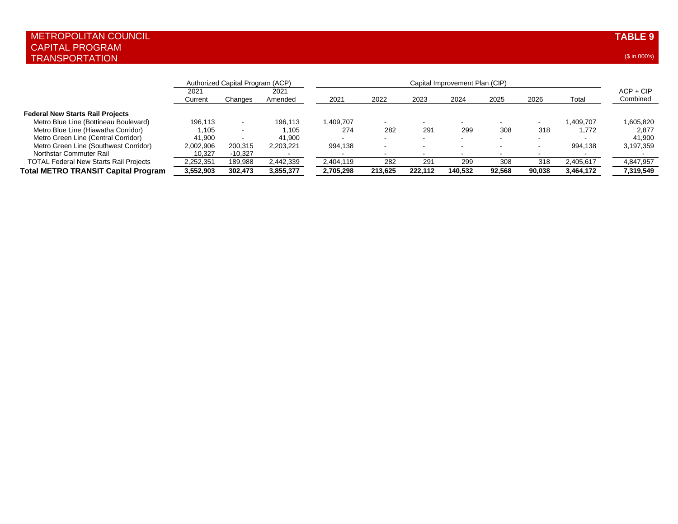|                                               |                 | Authorized Capital Program (ACP) |                 |           |         |                          |                          |                          |        |           |                         |
|-----------------------------------------------|-----------------|----------------------------------|-----------------|-----------|---------|--------------------------|--------------------------|--------------------------|--------|-----------|-------------------------|
|                                               | 2021<br>Current | Changes                          | 2021<br>Amended | 2021      | 2022    | 2023                     | 2024                     | 2025                     | 2026   | Total     | $ACP + CIP$<br>Combined |
| <b>Federal New Starts Rail Projects</b>       |                 |                                  |                 |           |         |                          |                          |                          |        |           |                         |
| Metro Blue Line (Bottineau Boulevard)         | 196.113         |                                  | 196.113         | 1,409,707 | . .     |                          | $\overline{\phantom{a}}$ | $\overline{\phantom{a}}$ |        | 1.409.707 | 1,605,820               |
| Metro Blue Line (Hiawatha Corridor)           | 1.105           |                                  | 1.105           | 274       | 282     | 291                      | 299                      | 308                      | 318    | 1.772     | 2,877                   |
| Metro Green Line (Central Corridor)           | 41.900          |                                  | 41.900          |           | . .     | $\overline{\phantom{a}}$ | . .                      | $\sim$                   | . .    |           | 41,900                  |
| Metro Green Line (Southwest Corridor)         | 2,002,906       | 200,315                          | 2,203,221       | 994,138   | . .     | $\overline{\phantom{a}}$ | . .                      | $\sim$                   | . .    | 994.138   | 3,197,359               |
| Northstar Commuter Rail                       | 10.327          | $-10.327$                        |                 |           |         |                          |                          | $\overline{\phantom{a}}$ |        |           |                         |
| <b>TOTAL Federal New Starts Rail Projects</b> | 2,252,351       | 189.988                          | 2,442,339       | 2,404,119 | 282     | 291                      | 299                      | 308                      | 318    | 2,405,617 | 4,847,957               |
| <b>Total METRO TRANSIT Capital Program</b>    | 3,552,903       | 302.473                          | 3,855,377       | 2.705.298 | 213.625 | 222.112                  | 140.532                  | 92.568                   | 90,038 | 3,464,172 | 7,319,549               |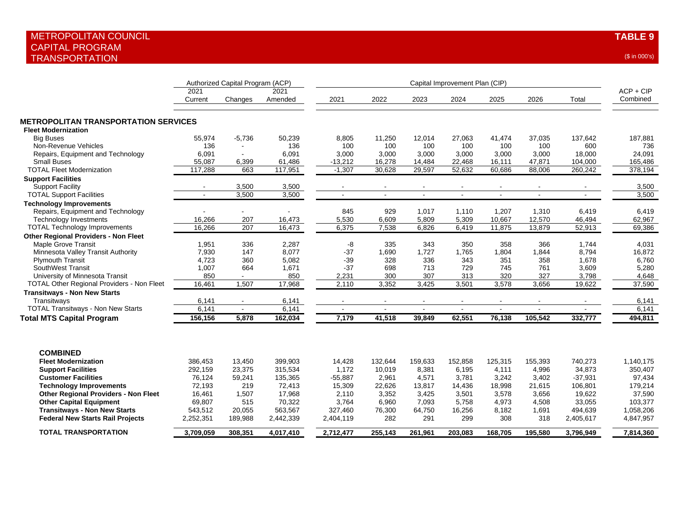|                                                                                |                      | Authorized Capital Program (ACP) |                      |                |               |                |                |                |               |                  |                         |
|--------------------------------------------------------------------------------|----------------------|----------------------------------|----------------------|----------------|---------------|----------------|----------------|----------------|---------------|------------------|-------------------------|
|                                                                                | 2021<br>Current      | Changes                          | 2021<br>Amended      | 2021           | 2022          | 2023           | 2024           | 2025           | 2026          | Total            | $ACP + CIP$<br>Combined |
| <b>METROPOLITAN TRANSPORTATION SERVICES</b>                                    |                      |                                  |                      |                |               |                |                |                |               |                  |                         |
| <b>Fleet Modernization</b>                                                     |                      |                                  |                      |                |               |                |                |                |               |                  |                         |
| <b>Big Buses</b><br>Non-Revenue Vehicles                                       | 55,974<br>136        | $-5,736$<br>$\sim$               | 50,239<br>136        | 8,805<br>100   | 11,250<br>100 | 12,014<br>100  | 27,063<br>100  | 41,474<br>100  | 37,035<br>100 | 137,642<br>600   | 187,881<br>736          |
| Repairs, Equipment and Technology                                              | 6,091                | $\sim$                           | 6,091                | 3,000          | 3,000         | 3,000          | 3,000          | 3,000          | 3,000         | 18,000           | 24,091                  |
| <b>Small Buses</b>                                                             | 55,087               | 6,399                            | 61,486               | $-13,212$      | 16,278        | 14,484         | 22,468         | 16,111         | 47,871        | 104,000          | 165,486                 |
| <b>TOTAL Fleet Modernization</b>                                               | 117,288              | 663                              | 117,951              | $-1,307$       | 30,628        | 29,597         | 52,632         | 60,686         | 88,006        | 260,242          | 378,194                 |
| <b>Support Facilities</b>                                                      |                      |                                  |                      |                |               |                |                |                |               |                  |                         |
| <b>Support Facility</b>                                                        |                      | 3,500                            | 3,500                |                |               |                |                |                |               |                  | 3,500                   |
| <b>TOTAL Support Facilities</b>                                                |                      | 3,500                            | 3,500                |                |               |                | $\sim$         | $\sim$         | $\sim$        |                  | 3,500                   |
| <b>Technology Improvements</b>                                                 |                      |                                  |                      |                |               |                |                |                |               |                  |                         |
| Repairs, Equipment and Technology                                              |                      | ۰                                |                      | 845            | 929           | 1,017          | 1,110          | 1,207          | 1,310         | 6,419            | 6,419                   |
| <b>Technology Investments</b>                                                  | 16,266               | 207                              | 16,473               | 5,530          | 6,609         | 5,809          | 5,309          | 10,667         | 12,570        | 46,494           | 62,967                  |
| <b>TOTAL Technology Improvements</b>                                           | 16,266               | 207                              | 16,473               | 6,375          | 7,538         | 6,826          | 6,419          | 11,875         | 13,879        | 52,913           | 69,386                  |
| <b>Other Regional Providers - Non Fleet</b>                                    |                      |                                  |                      |                |               |                |                |                |               |                  |                         |
| Maple Grove Transit                                                            | 1,951                | 336                              | 2,287                | -8             | 335           | 343            | 350            | 358            | 366           | 1,744            | 4,031                   |
| Minnesota Valley Transit Authority                                             | 7,930                | 147                              | 8,077                | $-37$          | 1,690         | 1,727          | 1,765          | 1,804          | 1,844         | 8,794            | 16,872                  |
| <b>Plymouth Transit</b>                                                        | 4,723                | 360                              | 5,082                | $-39$          | 328           | 336            | 343            | 351            | 358           | 1,678            | 6,760                   |
| SouthWest Transit                                                              | 1,007                | 664                              | 1,671                | $-37$          | 698           | 713            | 729            | 745            | 761           | 3,609            | 5,280                   |
| University of Minnesota Transit                                                | 850                  | $\blacksquare$                   | 850                  | 2,231          | 300           | 307            | 313            | 320            | 327           | 3,798            | 4,648                   |
| TOTAL Other Regional Providers - Non Fleet                                     | 16,461               | 1,507                            | 17,968               | 2.110          | 3,352         | 3,425          | 3,501          | 3,578          | 3,656         | 19,622           | 37,590                  |
| <b>Transitways - Non New Starts</b>                                            |                      |                                  |                      |                |               |                |                |                |               |                  |                         |
| Transitwavs                                                                    | 6,141                |                                  | 6,141                |                |               |                |                |                |               |                  | 6,141                   |
| <b>TOTAL Transitways - Non New Starts</b>                                      | 6,141                | $\blacksquare$                   | 6,141                | $\sim$         |               |                |                | $\blacksquare$ |               |                  | 6,141                   |
| <b>Total MTS Capital Program</b>                                               | 156,156              | 5.878                            | 162,034              | 7,179          | 41,518        | 39.849         | 62,551         | 76,138         | 105.542       | 332,777          | 494,811                 |
|                                                                                |                      |                                  |                      |                |               |                |                |                |               |                  |                         |
| <b>COMBINED</b>                                                                |                      |                                  |                      |                |               |                |                |                |               |                  |                         |
| <b>Fleet Modernization</b>                                                     | 386,453              | 13,450                           | 399,903              | 14,428         | 132,644       | 159,633        | 152,858        | 125,315        | 155,393       | 740,273          | 1,140,175               |
| <b>Support Facilities</b>                                                      | 292,159              | 23,375                           | 315,534              | 1,172          | 10,019        | 8,381          | 6,195          | 4,111          | 4,996         | 34,873           | 350,407                 |
| <b>Customer Facilities</b>                                                     | 76,124               | 59,241                           | 135,365              | $-55,887$      | 2,961         | 4,571          | 3,781          | 3,242          | 3,402         | $-37,931$        | 97,434                  |
| <b>Technology Improvements</b>                                                 | 72,193               | 219                              | 72,413               | 15,309         | 22,626        | 13,817         | 14,436         | 18,998         | 21,615        | 106,801          | 179,214                 |
| <b>Other Regional Providers - Non Fleet</b>                                    | 16,461<br>69,807     | 1,507<br>515                     | 17,968<br>70,322     | 2,110<br>3,764 | 3,352         | 3,425<br>7,093 | 3,501<br>5.758 | 3,578<br>4.973 | 3,656         | 19,622<br>33.055 | 37,590<br>103.377       |
| <b>Other Capital Equipment</b>                                                 |                      |                                  |                      | 327,460        | 6.960         |                |                |                | 4,508         | 494,639          | 1,058,206               |
| <b>Transitways - Non New Starts</b><br><b>Federal New Starts Rail Projects</b> | 543,512<br>2,252,351 | 20,055<br>189,988                | 563,567<br>2,442,339 | 2,404,119      | 76,300<br>282 | 64,750<br>291  | 16,256<br>299  | 8,182<br>308   | 1,691<br>318  | 2,405,617        | 4,847,957               |
|                                                                                |                      |                                  |                      |                |               |                |                |                |               |                  |                         |
| <b>TOTAL TRANSPORTATION</b>                                                    | 3,709,059            | 308,351                          | 4,017,410            | 2,712,477      | 255,143       | 261,961        | 203,083        | 168,705        | 195,580       | 3,796,949        | 7,814,360               |